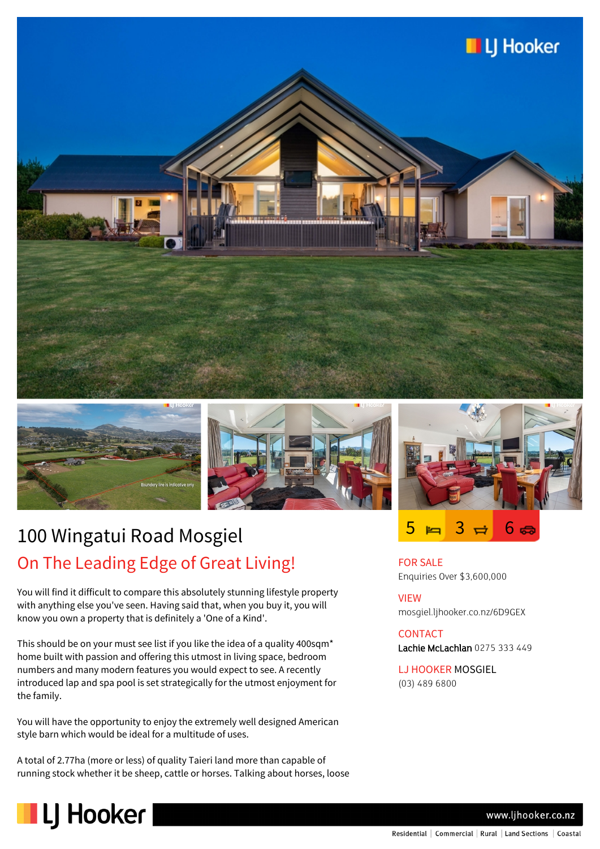



LJ Hooker



## 100 Wingatui Road Mosgiel On The Leading Edge of Great Living!

You will find it difficult to compare this absolutely stunning lifestyle property with anything else you've seen. Having said that, when you buy it, you will know you own a property that is definitely a 'One of a Kind'.

This should be on your must see list if you like the idea of a quality 400sqm\* home built with passion and offering this utmost in living space, bedroom numbers and many modern features you would expect to see. A recently introduced lap and spa pool is set strategically for the utmost enjoyment for the family.

You will have the opportunity to enjoy the extremely well designed American style barn which would be ideal for a multitude of uses.

A total of 2.77ha (more or less) of quality Taieri land more than capable of running stock whether it be sheep, cattle or horses. Talking about horses, loose



 $5 \bowtie 3 \bowtie 6$ **G** 

FOR SALE Enquiries Over \$3,600,000

VIEW mosgiel.ljhooker.co.nz/6D9GEX

**CONTACT** Lachie McLachlan 0275 333 449

LJ HOOKER MOSGIEL (03) 489 6800

www.ljhooker.co.nz